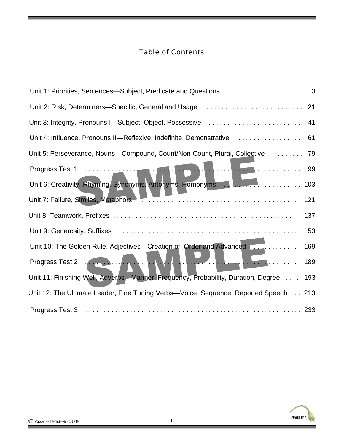### Table of Contents

| 21                                                                                     |
|----------------------------------------------------------------------------------------|
| Unit 3: Integrity, Pronouns I-Subject, Object, Possessive<br>41                        |
| 61                                                                                     |
| Unit 5: Perseverance, Nouns-Compound, Count/Non-Count, Plural, Collective  79          |
| <b>The Reserve Experience of Second Street</b> 199                                     |
|                                                                                        |
| 121                                                                                    |
| 137                                                                                    |
| 153                                                                                    |
| Unit 10: The Golden Rule, Adjectives—Creation of, Order and Advanced<br>169            |
| 189                                                                                    |
| Unit 11: Finishing Well, Adverbs-Manner, Frequency, Probability, Duration, Degree  193 |
| Unit 12: The Ultimate Leader, Fine Tuning Verbs—Voice, Sequence, Reported Speech  213  |
|                                                                                        |

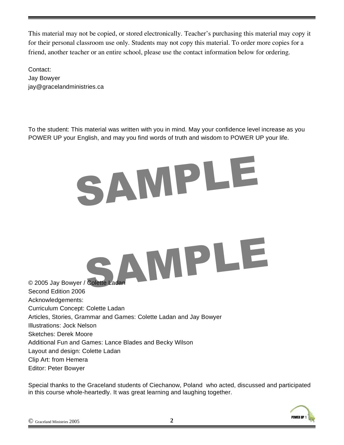This material may not be copied, or stored electronically. Teacher's purchasing this material may copy it for their personal classroom use only. Students may not copy this material. To order more copies for a friend, another teacher or an entire school, please use the contact information below for ordering.

Contact: Jay Bowyer jay@gracelandministries.ca

To the student: This material was written with you in mind. May your confidence level increase as you POWER UP your English, and may you find words of truth and wisdom to POWER UP your life.



© 2005 Jay Bowyer / Colette Ladan Second Edition 2006 Acknowledgements: Curriculum Concept: Colette Ladan Articles, Stories, Grammar and Games: Colette Ladan and Jay Bowyer Illustrations: Jock Nelson Sketches: Derek Moore Additional Fun and Games: Lance Blades and Becky Wilson Layout and design: Colette Ladan Clip Art: from Hemera Editor: Peter Bowyer

Special thanks to the Graceland students of Ciechanow, Poland who acted, discussed and participated in this course whole-heartedly. It was great learning and laughing together.

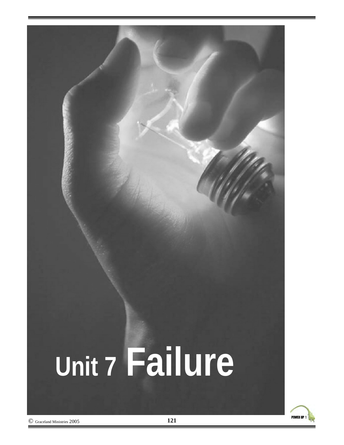## **Unit 7 Failure**



SAMPLE

SAMPLE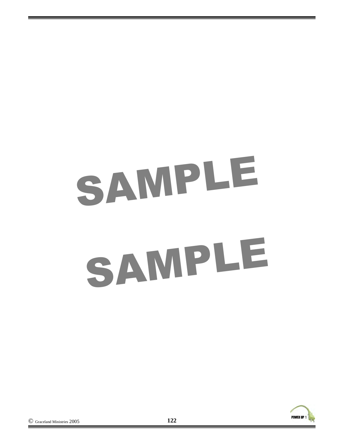# SAMPLE SAMPLE

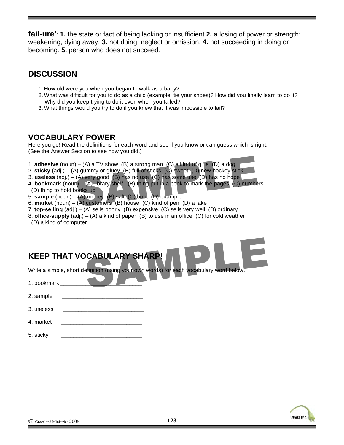**fail-ure'**: **1.** the state or fact of being lacking or insufficient **2.** a losing of power or strength; weakening, dying away. **3.** not doing; neglect or omission. **4.** not succeeding in doing or becoming. **5.** person who does not succeed.

### **DISCUSSION**

- 1. How old were you when you began to walk as a baby?
- 2. What was difficult for you to do as a child (example: tie your shoes)? How did you finally learn to do it? Why did you keep trying to do it even when you failed?
- 3. What things would you try to do if you knew that it was impossible to fail?

### **VOCABULARY POWER**

Here you go! Read the definitions for each word and see if you know or can guess which is right. (See the Answer Section to see how you did.)

- 1. **adhesive** (noun) (A) a TV show (B) a strong man (C) a kind of glue (D) a dog
- 2. **sticky** (adj.) (A) gummy or gluey (B) full of sticks (C) sweet (D) new hockey stick
- 3. **useless** (adj.) (A) very good (B) has no use (C) has some use (D) has no hope
- $(A)$  a TV show (B) a strong man (C) a kind of glue (D) a dog<br>
A) gummy or gluey (B) full of sticks (C) sweet (D) new hockey stick<br>
(A) very good (B) has no use (C) has some use (D) has no hope<br>
n) (A) library shelf (B) 4. **bookmark** (noun) – (A) library shelf (B) thing put in a book to mark the pages (C) numbers (D) thing to hold books up
- 5. **sample** (noun) (A) money (B) salt (C) boat (D) example
- 6. **market** (noun) (A) customers (B) house (C) kind of pen (D) a lake
- 7. **top**-**selling** (adj.) (A) sells poorly (B) expensive (C) sells very well (D) ordinary
- 8. **office**-**supply** (adj.) (A) a kind of paper (B) to use in an office (C) for cold weather
- (D) a kind of computer

| <b>KEEP THAT VOCABULARY SHARP!</b>                                                      |
|-----------------------------------------------------------------------------------------|
| Write a simple, short definition (using your own words) for each vocabulary word below. |
| 1. bookmark                                                                             |
| 2. sample                                                                               |
| 3. useless                                                                              |

- 4. market
- 5. sticky

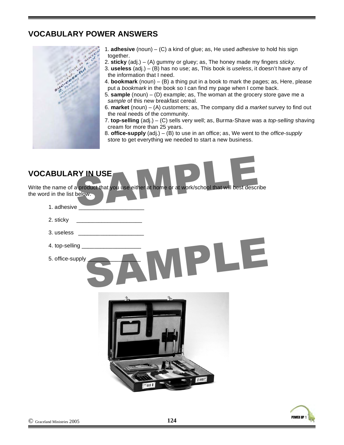### **VOCABULARY POWER ANSWERS**



- 1. **adhesive** (noun) (C) a kind of glue; as, He used *adhesive* to hold his sign together.
- 2. **sticky** (adj.) (A) gummy or gluey; as, The honey made my fingers *sticky*.

3. **useless** (adj.) – (B) has no use; as, This book is *useless*, it doesn't have any of the information that I need.

4. **bookmark** (noun) – (B) a thing put in a book to mark the pages; as, Here, please put a *bookmark* in the book so I can find my page when I come back.

- 5. **sample** (noun) (D) example; as, The woman at the grocery store gave me a *sample* of this new breakfast cereal.
- 6. **market** (noun) (A) customers; as, The company did a *market* survey to find out the real needs of the community.
- 7. **top-selling** (adj.) (C) sells very well; as, Burma-Shave was a *top-selling* shaving cream for more than 25 years.
- 8. **office-supply** (adj.) (B) to use in an office; as, We went to the *office-supply* store to get everything we needed to start a new business.

| <b>VOCABULARY IN USE</b><br>Write the name of a product that you use either at home or at work/school that will best describe<br>the word in the list below.<br>1. adhesive <b>1. Albumon</b> |
|-----------------------------------------------------------------------------------------------------------------------------------------------------------------------------------------------|
| 2. sticky                                                                                                                                                                                     |
|                                                                                                                                                                                               |
|                                                                                                                                                                                               |
| É<br>P<br>5. office-supply                                                                                                                                                                    |
| 0.0001                                                                                                                                                                                        |

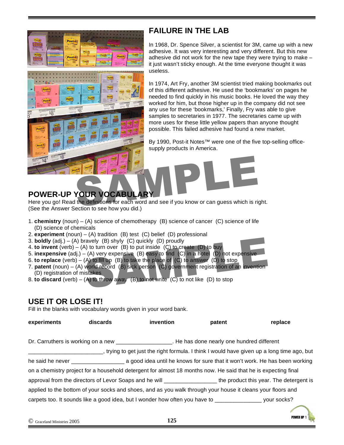

### **FAILURE IN THE LAB**

In 1968, Dr. Spence Silver, a scientist for 3M, came up with a new adhesive. It was very interesting and very different. But this new adhesive did not work for the new tape they were trying to make – it just wasn't sticky enough. At the time everyone thought it was useless.

In 1974, Art Fry, another 3M scientist tried making bookmarks out of this different adhesive. He used the 'bookmarks' on pages he needed to find quickly in his music books. He loved the way they worked for him, but those higher up in the company did not see any use for these 'bookmarks,' Finally, Fry was able to give samples to secretaries in 1977. The secretaries came up with more uses for these little yellow papers than anyone thought possible. This failed adhesive had found a new market.

By 1990, Post-it Notes™ were one of the five top-selling officesupply products in America.

**POWER UP** 

### **POWER-UP YOUR VOCABULAR**

(See the Answer Section to see how you did.)

- 1. **chemistry** (noun) (A) science of chemotherapy (B) science of cancer (C) science of life (D) science of chemicals
- 2. **experiment** (noun) (A) tradition (B) test (C) belief (D) professional
- 3. **boldly** (adj.) (A) bravely (B) shyly (C) quickly (D) proudly
- 4. **to invent** (verb) (A) to turn over (B) to put inside (C) to create (D) to buy
- 5. **inexpensive** (adj.) (A) very expensive (B) easy to find (C) in a hotel (D) not expensive
- 6. **to replace** (verb) (A) to fill up (B) to take the place of (C) to answer (D) to stop
- ravely (B) shyly (C) quickly (D) proudly<br>
(A) to turn over (B) to put inside (C) to create (D) to buy<br>
(A) very expensive (B) easy to find (C) in a hotel (D) not expensive<br>
(A) to fill up (B) to take the place of (C) to an 7. **patent** (noun) – (A) world record (B) sick person (C) government registration of an invention (D) registration of mistakes
- 8. **to discard** (verb) (A) to throw away (B) to not write (C) to not like (D) to stop

### **USE IT OR LOSE IT!**

Fill in the blanks with vocabulary words given in your word bank.

| experiments | discards | invention                                                                                                     | patent | replace                                                                                                                 |  |
|-------------|----------|---------------------------------------------------------------------------------------------------------------|--------|-------------------------------------------------------------------------------------------------------------------------|--|
|             |          |                                                                                                               |        |                                                                                                                         |  |
|             |          |                                                                                                               |        | , trying to get just the right formula. I think I would have given up a long time ago, but                              |  |
|             |          |                                                                                                               |        |                                                                                                                         |  |
|             |          | on a chemistry project for a household detergent for almost 18 months now. He said that he is expecting final |        |                                                                                                                         |  |
|             |          |                                                                                                               |        | approval from the directors of Levor Soaps and he will ________________________ the product this year. The detergent is |  |
|             |          | applied to the bottom of your socks and shoes, and as you walk through your house it cleans your floors and   |        |                                                                                                                         |  |
|             |          | carpets too. It sounds like a good idea, but I wonder how often you have to __________________ your socks?    |        |                                                                                                                         |  |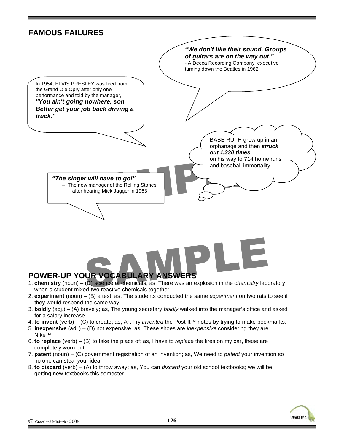### **FAMOUS FAILURES**



### **POWER-UP YOUR VOCABULARY ANSWERS**

- **POWER-UP YOUR VOCABULARY ANSWERS**<br>1. chemistry (noun) (D) science of chemicals; as, There was an explosion in the *chemistry* laboratory when a student mixed two reactive chemicals together.
- 2. **experiment** (noun) (B) a test; as, The students conducted the same *experiment* on two rats to see if they would respond the same way.
- 3. **boldly** (adj.) (A) bravely; as, The young secretary *boldly* walked into the manager's office and asked for a salary increase.
- 4. **to invent** (verb) (C) to create; as, Art Fry *invented* the Post-It™ notes by trying to make bookmarks.
- 5. **inexpensive** (adj.) (D) not expensive; as, These shoes are *inexpensive* considering they are Nike™.
- 6. **to replace** (verb) (B) to take the place of; as, I have to *replace* the tires on my car, these are completely worn out.
- 7. **patent** (noun) (C) government registration of an invention; as, We need to *patent* your invention so no one can steal your idea.
- 8. **to discard** (verb) (A) to throw away; as, You can *discard* your old school textbooks; we will be getting new textbooks this semester.

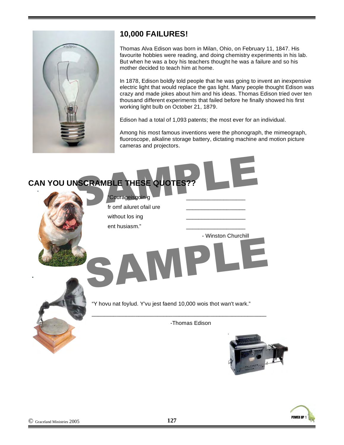

### **10,000 FAILURES!**

Thomas Alva Edison was born in Milan, Ohio, on February 11, 1847. His favourite hobbies were reading, and doing chemistry experiments in his lab. But when he was a boy his teachers thought he was a failure and so his mother decided to teach him at home.

In 1878, Edison boldly told people that he was going to invent an inexpensive electric light that would replace the gas light. Many people thought Edison was crazy and made jokes about him and his ideas. Thomas Edison tried over ten thousand different experiments that failed before he finally showed his first working light bulb on October 21, 1879.

Edison had a total of 1,093 patents; the most ever for an individual.

Among his most famous inventions were the phonograph, the mimeograph, fluoroscope, alkaline storage battery, dictating machine and motion picture cameras and projectors.



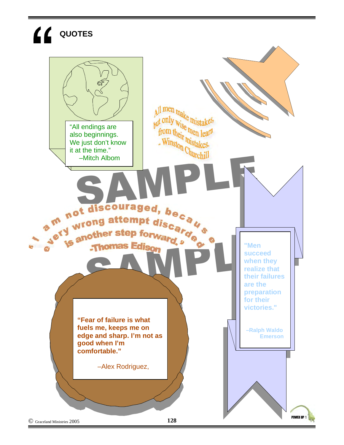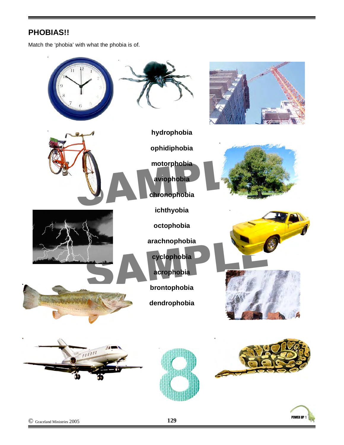### **PHOBIAS!!**

Match the 'phobia' with what the phobia is of.



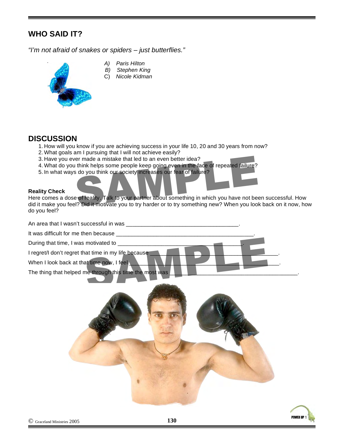### **WHO SAID IT?**

*"I'm not afraid of snakes or spiders – just butterflies."* 



- *A) Paris Hilton*
- *B) Stephen King*
- C) *Nicole Kidman*

### **DISCUSSION**

- 1. How will you know if you are achieving success in your life 10, 20 and 30 years from now?
- 2. What goals am I pursuing that I will not achieve easily?
- 3. Have you ever made a mistake that led to an even better idea?
- 4. What do you think helps some people keep going even in the face of repeated failure?
- 5. In what ways do you think our society increases our fear of failure?

### **Reality Check**

For made a mistake that led to an even better idea?<br>
I think helps some people keep going even in the face of repeated failure?<br>
Is do you think our society increases our fear of failure?<br>
In this divide we not be all the Here comes a dose of reality. Talk to your partner about something in which you have not been successful. How did it make you feel? Did it motivate you to try harder or to try something new? When you look back on it now, how do you feel?

motivated to<br>at time in my life because<br>at time now, I feel<br>he through this time the most was An area that I wasn't successful in was It was difficult for me then because During that time, I was motivated to I regret/I don't regret that time in my life because When I look back at that time now, I feel The thing that helped me through this time the most was



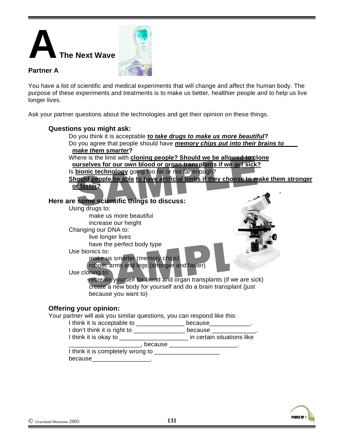

### **Partner A**

You have a list of scientific and medical experiments that will change and affect the human body. The purpose of these experiments and treatments is to make us better, healthier people and to help us live longer lives.

Ask your partner questions about the technologies and get their opinion on these things.

### **Questions you might ask:**



### **Offering your opinion:**

Your partner will ask you similar questions, you can respond like this:

| I think it is acceptable to                          | because_____________                                                                                                                                                                                                            |
|------------------------------------------------------|---------------------------------------------------------------------------------------------------------------------------------------------------------------------------------------------------------------------------------|
| I don't think it is right to _________               | because and the state of the state of the state of the state of the state of the state of the state of the state of the state of the state of the state of the state of the state of the state of the state of the state of the |
| I think it is okay to <b>show that</b>               | in certain situations like                                                                                                                                                                                                      |
| because                                              |                                                                                                                                                                                                                                 |
| I think it is completely wrong to __________________ |                                                                                                                                                                                                                                 |
| because                                              |                                                                                                                                                                                                                                 |

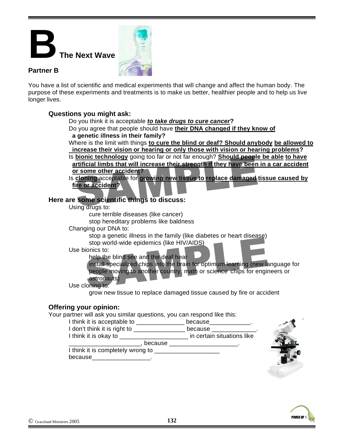### **BThe Next Wave**



### **Partner B**

You have a list of scientific and medical experiments that will change and affect the human body. The purpose of these experiments and treatments is to make us better, healthier people and to help us live longer lives.

### **Questions you might ask:**

Do you think it is acceptable *to take drugs to cure cancer***?** 

Do you agree that people should have **their DNA changed if they know of a genetic illness in their family?** 

Where is the limit with things **to cure the blind or deaf? Should anybody be allowed to increase their vision or hearing or only those with vision or hearing problems?** 

bionic technology going too far or not far enough? Should people<br>
intificial limbs that will increase their strength if they have been<br>
or some other accident?<br>
cloning acceptable for growing new tissue to replace damaged<br> Is **bionic technology** going too far or not far enough? **Should people be able to have artificial limbs that will increase their strength if they have been in a car accident or some other accident?** 

Is **cloning** acceptable for **growing new tissue to replace damaged tissue caused by fire or accident?** 

### **Here are some scientific things to discuss:**

Using drugs to:

cure terrible diseases (like cancer)

stop hereditary problems like baldness

Changing our DNA to:

 stop a genetic illness in the family (like diabetes or heart disease) stop world-wide epidemics (like HIV/AIDS)

Use bionics to:

help the blind see and the deaf hear

stop world-wide epidemics in the larmy (like HIV/AIDS)<br>stop world-wide epidemics (like HIV/AIDS)<br>ionics to:<br>help the blind see and the deaf hear<br>install specialized chips into the brain for optimum learning (new la<br>people install specialized chips into the brain for optimum learning (new language for people moving to another country, math or science chips for engineers or astronauts)

### Use cloning to:

grow new tissue to replace damaged tissue caused by fire or accident

### **Offering your opinion:**

Your partner will ask you similar questions, you can respond like this:

I think it is acceptable to \_\_\_\_\_\_\_\_\_\_\_\_\_\_\_\_\_ because\_\_\_\_\_\_\_\_\_\_

I don't think it is right to \_\_\_\_\_\_\_\_\_\_\_\_\_\_\_\_\_ because \_\_\_\_\_\_\_\_\_\_\_

I think it is okay to \_\_\_\_\_\_\_\_\_\_\_\_\_\_\_\_\_\_\_\_ in certain situations like

\_\_\_\_\_\_, because \_\_\_\_\_\_\_\_\_\_\_\_\_\_\_\_\_\_\_\_\_\_\_\_. I think it is completely wrong to \_\_\_\_\_\_\_\_\_\_\_\_\_\_\_\_\_\_\_

because\_\_\_\_\_\_\_\_\_\_\_\_\_\_\_\_\_\_\_.



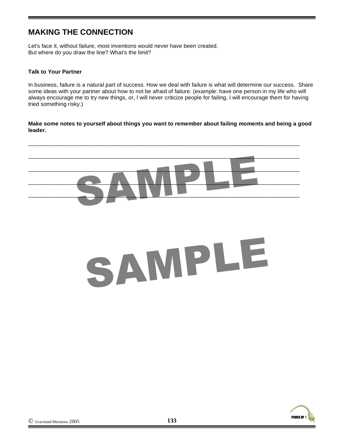### **MAKING THE CONNECTION**

Let's face it, without failure, most inventions would never have been created. But where do you draw the line? What's the limit?

### **Talk to Your Partner**

In business, failure is a natural part of success. How we deal with failure is what will determine our success. Share some ideas with your partner about how to not be afraid of failure. (example: have one person in my life who will always encourage me to try new things, or, I will never criticize people for failing, I will encourage them for having tried something risky.)

**Make some notes to yourself about things you want to remember about failing moments and being a good leader.** 



## SAMPLE

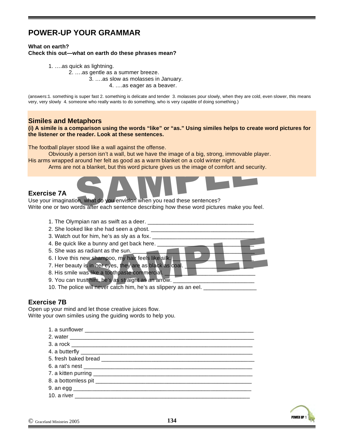### **POWER-UP YOUR GRAMMAR**

### **What on earth? Check this out—what on earth do these phrases mean?**

1. ….as quick as lightning.

2. ….as gentle as a summer breeze. 3. ….as slow as molasses in January. 4. ….as eager as a beaver.

(answers:1. something is super fast 2. something is delicate and tender 3. molasses pour slowly, when they are cold, even slower, this means very, very slowly 4. someone who really wants to do something, who is very capable of doing something.)

### **Similes and Metaphors**

**(i) A simile is a comparison using the words "like" or "as." Using similes helps to create word pictures for the listener or the reader. Look at these sentences.** 

The football player stood like a wall against the offense.

Obviously a person isn't a wall, but we have the image of a big, strong, immovable player.

His arms wrapped around her felt as good as a warm blanket on a cold winter night.

around her felt as good as a warm blanket on a cold winter night.<br>
Not a blanket, but this word picture gives us the image of comfort and secular<br>
On, what do you envision when you read these sentences?<br>
On the action of t Arms are not a blanket, but this word picture gives us the image of comfort and security.

### **Exercise 7A**

Use your imagination, what do you envision when you read these sentences?

Write one or two words after each sentence describing how these word pictures make you feel.

- 1. The Olympian ran as swift as a deer. \_\_\_\_\_\_\_\_\_\_\_\_\_\_\_\_\_\_\_\_\_\_\_\_\_\_\_\_\_\_\_\_\_\_
- 2. She looked like she had seen a ghost.
- 3. Watch out for him, he's as sly as a fox.
- 4. Be quick like a bunny and get back here.
- 5. She was as radiant as the sun.
- 6. I love this new shampoo, my hair feels like silk.
- 7. Her beauty is in her eyes, they are as black as coal.
- 8. His smile was like a toothpaste commercial.
- 9. You can trust him, he's as straight as an arrow.

e a bunny and get back here.<br>
radiant as the sun.<br>
w shampoo, my hair feels like silk.<br>
s in her eyes, they are as black as coal.<br>
Is like a toothpaste commercial.<br>
It him, he's as straight as an arrow.<br>
will never catch h 10. The police will never catch him, he's as slippery as an eel.

### **Exercise 7B**

Open up your mind and let those creative juices flow. Write your own similes using the guiding words to help you.



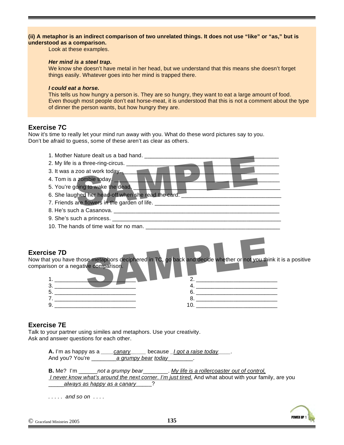### **(ii) A metaphor is an indirect comparison of two unrelated things. It does not use "like" or "as," but is understood as a comparison.**

Look at these examples.

### *Her mind is a steel trap.*

We know she doesn't have metal in her head, but we understand that this means she doesn't forget things easily. Whatever goes into her mind is trapped there.

### *I could eat a horse.*

 This tells us how hungry a person is. They are so hungry, they want to eat a large amount of food. Even though most people don't eat horse-meat, it is understood that this is not a comment about the type of dinner the person wants, but how hungry they are.

### **Exercise 7C**

Now it's time to really let your mind run away with you. What do these word pictures say to you. Don't be afraid to guess, some of these aren't as clear as others.

F. Mother Nature dealt us a bad hand.<br>
2. My life is a three-ring-circus.<br>
3. It was a zoo at work today.<br>
4. Tom is a zombie today.<br>
5. You're going to wake the dead.<br>
6. She laughed her head-off when she read the card.<br> Se metaphors deciphered in TC, go back and decide whether or not you the<br>Ve comparison.<br>4. 1. Mother Nature dealt us a bad hand. 2. My life is a three-ring-circus. 3. It was a zoo at work today. 4. Tom is a zombie today. 5. You're going to wake the dead. 6. She laughed her head-off when she read the card. 8. He's such a Casanova. 9. She's such a princess.  $\Box$ 10. The hands of time wait for no man. **Exercise 7D** Now that you have those metaphors deciphered in 7C, go back and decide whether or not you think it is a positive comparison or a negative comparison. 1. \_\_\_\_\_\_\_\_\_\_\_\_\_\_\_\_\_\_\_\_\_\_\_\_\_\_ 2. \_\_\_\_\_\_\_\_\_\_\_\_\_\_\_\_\_\_\_\_\_\_\_\_\_\_



### **Exercise 7E**

Talk to your partner using similes and metaphors. Use your creativity. Ask and answer questions for each other.

> **A.** I'm as happy as a *\_\_\_\_canary\_\_\_\_\_* because *\_I got a raise today\_\_\_\_.* And you? You're \_\_\_\_\_\_\_\_*a grumpy bear today*\_\_\_\_\_\_\_\_.

**B.** Me? I'm \_\_\_\_\_\_*not a grumpy bear*\_\_\_\_\_\_\_\_. *My life is a rollercoaster out of control, I never know what's around the next corner. I'm just tired.* And what about with your family, are you \_\_\_\_\_*always as happy as a canary*\_\_\_\_\_?

*. . . . . and so on . . . .*